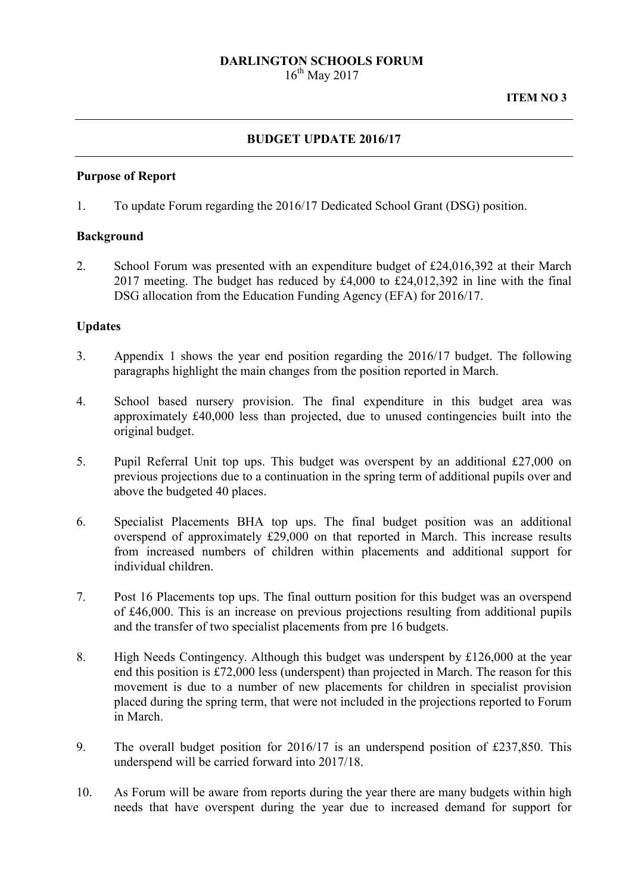# **DARLINGTON SCHOOLS FORUM**

 $16^{th}$  May 2017

### **BUDGET UPDATE 2016/17**

#### **Purpose of Report**

1. To update Forum regarding the 2016/17 Dedicated School Grant (DSG) position.

#### **Background**

2. School Forum was presented with an expenditure budget of £24,016,392 at their March 2017 meeting. The budget has reduced by £4,000 to £24,012,392 in line with the final DSG allocation from the Education Funding Agency (EFA) for 2016/17.

#### **Updates**

- 3. Appendix 1 shows the year end position regarding the 2016/17 budget. The following paragraphs highlight the main changes from the position reported in March.
- 4. School based nursery provision. The final expenditure in this budget area was approximately £40,000 less than projected, due to unused contingencies built into the original budget.
- 5. Pupil Referral Unit top ups. This budget was overspent by an additional £27,000 on previous projections due to a continuation in the spring term of additional pupils over and above the budgeted 40 places.
- 6. Specialist Placements BHA top ups. The final budget position was an additional overspend of approximately £29,000 on that reported in March. This increase results from increased numbers of children within placements and additional support for individual children.
- 7. Post 16 Placements top ups. The final outturn position for this budget was an overspend of £46,000. This is an increase on previous projections resulting from additional pupils and the transfer of two specialist placements from pre 16 budgets.
- 8. High Needs Contingency. Although this budget was underspent by £126,000 at the year end this position is £72,000 less (underspent) than projected in March. The reason for this movement is due to a number of new placements for children in specialist provision placed during the spring term, that were not included in the projections reported to Forum in March.
- 9. The overall budget position for 2016/17 is an underspend position of £237,850. This underspend will be carried forward into 2017/18.
- 10. As Forum will be aware from reports during the year there are many budgets within high needs that have overspent during the year due to increased demand for support for